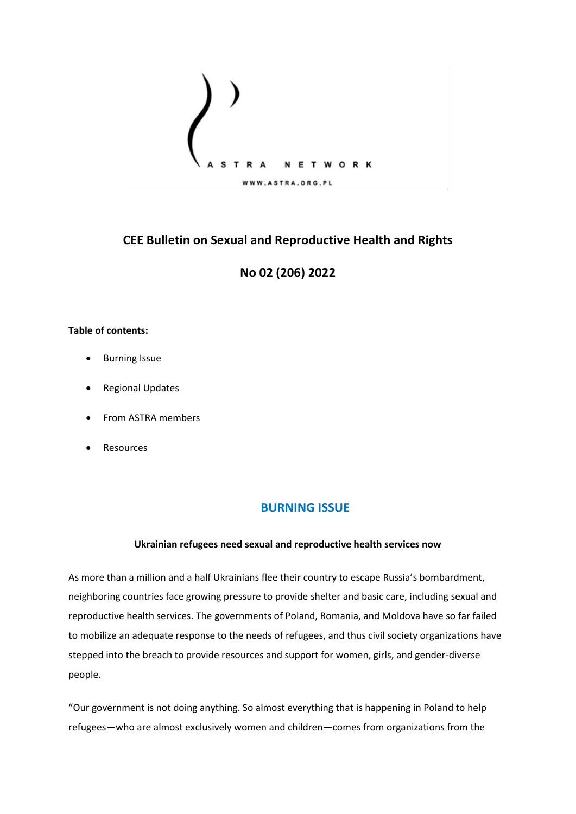

# **CEE Bulletin on Sexual and Reproductive Health and Rights**

# **No 02 (206) 2022**

### **Table of contents:**

- Burning Issue
- Regional Updates
- From ASTRA members
- **Resources**

## **BURNING ISSUE**

### **Ukrainian refugees need sexual and reproductive health services now**

As more than a million and a half Ukrainians flee their country to escape Russia's bombardment, neighboring countries face growing pressure to provide shelter and basic care, including sexual and reproductive health services. The governments of Poland, Romania, and Moldova have so far failed to mobilize an adequate response to the needs of refugees, and thus civil society organizations have stepped into the breach to provide resources and support for women, girls, and gender-diverse people.

"Our government is not doing anything. So almost everything that is happening in Poland to help refugees—who are almost exclusively women and children—comes from organizations from the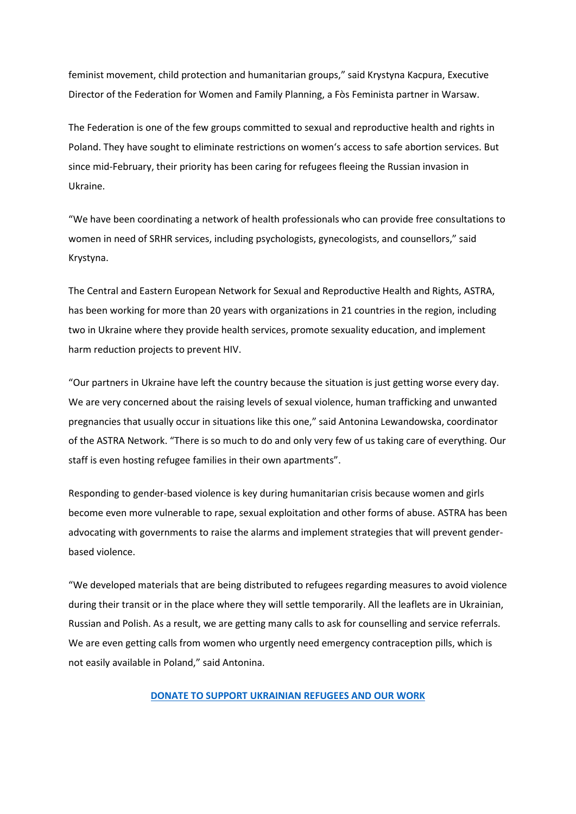feminist movement, child protection and humanitarian groups," said Krystyna Kacpura, Executive Director of the Federation for Women and Family Planning, a Fòs Feminista partner in Warsaw.

The Federation is one of the few groups committed to sexual and reproductive health and rights in Poland. They have sought to eliminate restrictions on women's access to safe abortion services. But since mid-February, their priority has been caring for refugees fleeing the Russian invasion in Ukraine.

"We have been coordinating a network of health professionals who can provide free consultations to women in need of SRHR services, including psychologists, gynecologists, and counsellors," said Krystyna.

The Central and Eastern European Network for Sexual and Reproductive Health and Rights, ASTRA, has been working for more than 20 years with organizations in 21 countries in the region, including two in Ukraine where they provide health services, promote sexuality education, and implement harm reduction projects to prevent HIV.

"Our partners in Ukraine have left the country because the situation is just getting worse every day. We are very concerned about the raising levels of sexual violence, human trafficking and unwanted pregnancies that usually occur in situations like this one," said Antonina Lewandowska, coordinator of the ASTRA Network. "There is so much to do and only very few of us taking care of everything. Our staff is even hosting refugee families in their own apartments".

Responding to gender-based violence is key during humanitarian crisis because women and girls become even more vulnerable to rape, sexual exploitation and other forms of abuse. ASTRA has been advocating with governments to raise the alarms and implement strategies that will prevent genderbased violence.

"We developed materials that are being distributed to refugees regarding measures to avoid violence during their transit or in the place where they will settle temporarily. All the leaflets are in Ukrainian, Russian and Polish. As a result, we are getting many calls to ask for counselling and service referrals. We are even getting calls from women who urgently need emergency contraception pills, which is not easily available in Poland," said Antonina.

#### **[DONATE TO SUPPORT UKRAINIAN REFUGEES AND OUR WORK](https://donate.fosfeminista.org/secure/ukraine)**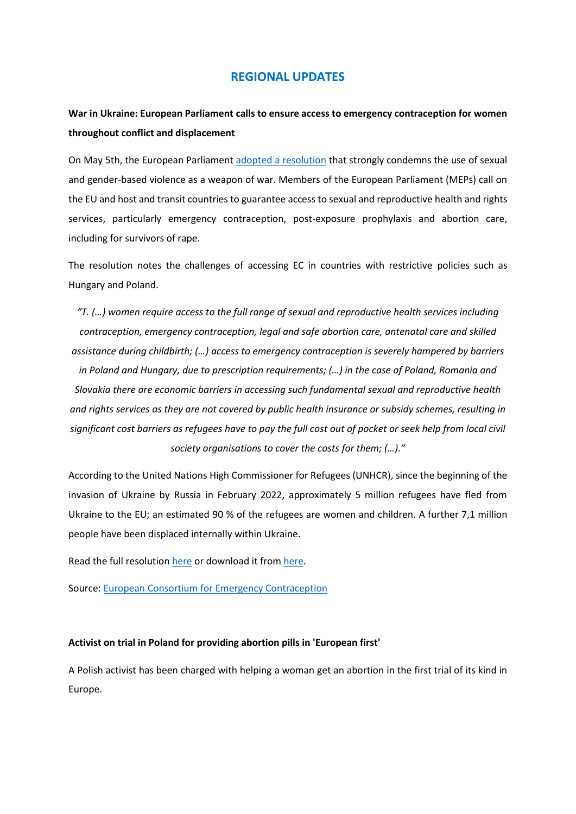## **REGIONAL UPDATES**

# **War in Ukraine: European Parliament calls to ensure access to emergency contraception for women throughout conflict and displacement**

On May 5th, the European Parliament [adopted a resolution](https://www.europarl.europa.eu/news/en/press-room/20220429IPR28229/war-in-ukraine-protecting-women-refugees-from-violence-and-sexual-exploitation) that strongly condemns the use of sexual and gender-based violence as a weapon of war. Members of the European Parliament (MEPs) call on the EU and host and transit countries to guarantee access to sexual and reproductive health and rights services, particularly emergency contraception, post-exposure prophylaxis and abortion care, including for survivors of rape.

The resolution notes the challenges of accessing EC in countries with restrictive policies such as Hungary and Poland.

*"T. (…) women require access to the full range of sexual and reproductive health services including contraception, emergency contraception, legal and safe abortion care, antenatal care and skilled assistance during childbirth; (…) access to emergency contraception is severely hampered by barriers* 

*in Poland and Hungary, due to prescription requirements; (…) in the case of Poland, Romania and Slovakia there are economic barriers in accessing such fundamental sexual and reproductive health and rights services as they are not covered by public health insurance or subsidy schemes, resulting in significant cost barriers as refugees have to pay the full cost out of pocket or seek help from local civil society organisations to cover the costs for them; (…)."*

According to the United Nations High Commissioner for Refugees (UNHCR), since the beginning of the invasion of Ukraine by Russia in February 2022, approximately 5 million refugees have fled from Ukraine to the EU; an estimated 90 % of the refugees are women and children. A further 7,1 million people have been displaced internally within Ukraine.

Read the full resolution [here](https://www.ec-ec.org/wp-content/uploads/2022/05/B-9-2022-0219_EN-1.pdf) or download it from [here.](https://www.europarl.europa.eu/doceo/document/TA-9-2022-0206_EN.html)

Source: [European Consortium for Emergency Contraception](https://www.ec-ec.org/war-in-ukraine-european-parliament-calls-to-ensure-access-to-emergency-contraception-for-women-throughout-conflict-and-displacement/)

### **Activist on trial in Poland for providing abortion pills in 'European first'**

A Polish activist has been charged with helping a woman get an abortion in the first trial of its kind in Europe.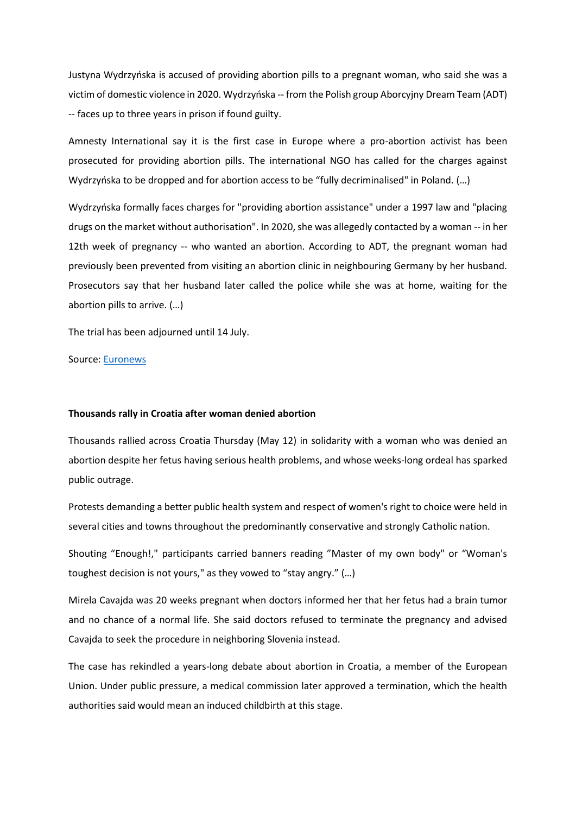Justyna Wydrzyńska is accused of providing abortion pills to a pregnant woman, who said she was a victim of domestic violence in 2020. Wydrzyńska -- from the Polish group Aborcyjny Dream Team (ADT) -- faces up to three years in prison if found guilty.

Amnesty International say it is the first case in Europe where a pro-abortion activist has been prosecuted for providing abortion pills. The international NGO has called for the charges against Wydrzyńska to be dropped and for abortion access to be "fully decriminalised" in Poland. (…)

Wydrzyńska formally faces charges for "providing abortion assistance" under a 1997 law and "placing drugs on the market without authorisation". In 2020, she was allegedly contacted by a woman -- in her 12th week of pregnancy -- who wanted an abortion. According to ADT, the pregnant woman had previously been prevented from visiting an abortion clinic in neighbouring Germany by her husband. Prosecutors say that her husband later called the police while she was at home, waiting for the abortion pills to arrive. (…)

The trial has been adjourned until 14 July.

Source: [Euronews](https://www.euronews.com/2022/04/08/activist-on-trial-in-poland-for-providing-abortion-pills-in-european-first)

#### **Thousands rally in Croatia after woman denied abortion**

Thousands rallied across Croatia Thursday (May 12) in solidarity with a woman who was denied an abortion despite her fetus having serious health problems, and whose weeks-long ordeal has sparked public outrage.

Protests demanding a better public health system and respect of women's right to choice were held in several cities and towns throughout the predominantly conservative and strongly Catholic nation.

Shouting "Enough!," participants carried banners reading "Master of my own body" or "Woman's toughest decision is not yours," as they vowed to "stay angry." (…)

Mirela Cavajda was 20 weeks pregnant when doctors informed her that her fetus had a brain tumor and no chance of a normal life. She said doctors refused to terminate the pregnancy and advised Cavajda to seek the procedure in neighboring Slovenia instead.

The case has rekindled a years-long debate about abortion in Croatia, a member of the European Union. Under public pressure, a medical commission later approved a termination, which the health authorities said would mean an induced childbirth at this stage.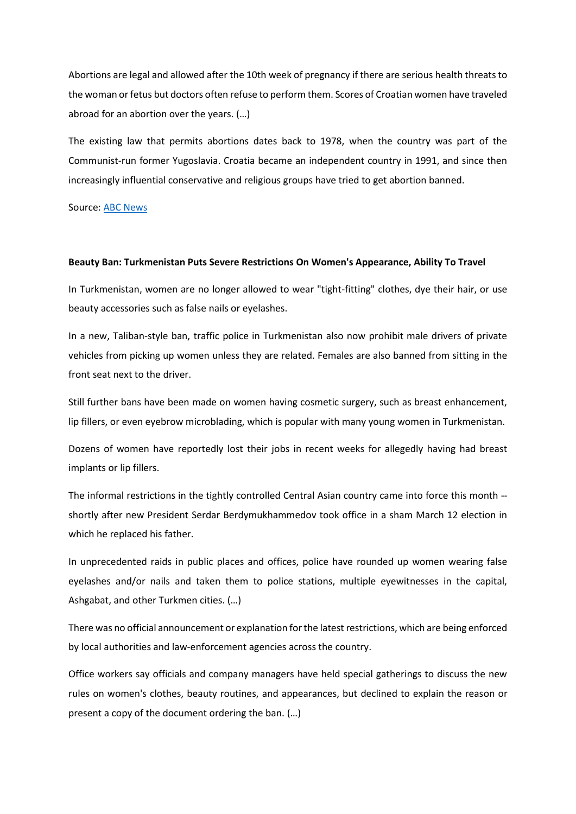Abortions are legal and allowed after the 10th week of pregnancy if there are serious health threats to the woman or fetus but doctors often refuse to perform them. Scores of Croatian women have traveled abroad for an abortion over the years. (…)

The existing law that permits abortions dates back to 1978, when the country was part of the Communist-run former Yugoslavia. Croatia became an independent country in 1991, and since then increasingly influential conservative and religious groups have tried to get abortion banned.

Source: [ABC News](https://abcnews.go.com/Health/wireStory/thousands-rally-croatia-woman-denied-abortion-84679046)

#### **Beauty Ban: Turkmenistan Puts Severe Restrictions On Women's Appearance, Ability To Travel**

In Turkmenistan, women are no longer allowed to wear "tight-fitting" clothes, dye their hair, or use beauty accessories such as false nails or eyelashes.

In a new, Taliban-style ban, traffic police in Turkmenistan also now prohibit male drivers of private vehicles from picking up women unless they are related. Females are also banned from sitting in the front seat next to the driver.

Still further bans have been made on women having cosmetic surgery, such as breast enhancement, lip fillers, or even eyebrow microblading, which is popular with many young women in Turkmenistan.

Dozens of women have reportedly lost their jobs in recent weeks for allegedly having had breast implants or lip fillers.

The informal restrictions in the tightly controlled Central Asian country came into force this month - shortly after new President Serdar Berdymukhammedov took office in a sham March 12 election in which he replaced his father.

In unprecedented raids in public places and offices, police have rounded up women wearing false eyelashes and/or nails and taken them to police stations, multiple eyewitnesses in the capital, Ashgabat, and other Turkmen cities. (…)

There was no official announcement or explanation for the latest restrictions, which are being enforced by local authorities and law-enforcement agencies across the country.

Office workers say officials and company managers have held special gatherings to discuss the new rules on women's clothes, beauty routines, and appearances, but declined to explain the reason or present a copy of the document ordering the ban. (…)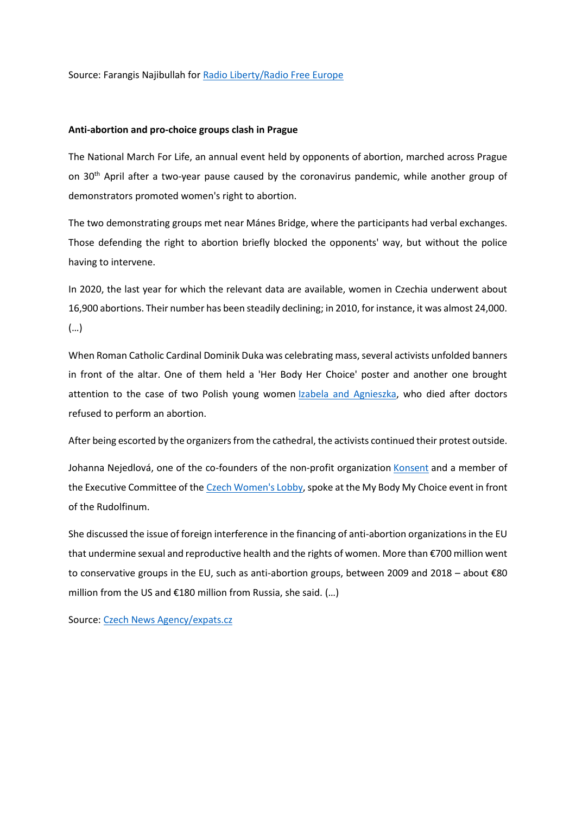Source: Farangis Najibullah for [Radio Liberty/Radio Free Europe](https://www.rferl.org/a/turkmenistan-restrictions-women-appearance-travel/31834476.html)

### **Anti-abortion and pro-choice groups clash in Prague**

The National March For Life, an annual event held by opponents of abortion, marched across Prague on  $30<sup>th</sup>$  April after a two-year pause caused by the coronavirus pandemic, while another group of demonstrators promoted women's right to abortion.

The two demonstrating groups met near Mánes Bridge, where the participants had verbal exchanges. Those defending the right to abortion briefly blocked the opponents' way, but without the police having to intervene.

In 2020, the last year for which the relevant data are available, women in Czechia underwent about 16,900 abortions. Their number has been steadily declining; in 2010, for instance, it was almost 24,000. (…)

When Roman Catholic Cardinal Dominik Duka was celebrating mass, several activists unfolded banners in front of the altar. One of them held a 'Her Body Her Choice' poster and another one brought attention to the case of two Polish young women **Izabela and Agnieszka**, who died after doctors refused to perform an abortion.

After being escorted by the organizers from the cathedral, the activists continued their protest outside.

Johanna Nejedlová, one of the co-founders of the non-profit organization [Konsent](https://konsent.cz/) and a member of the Executive Committee of the [Czech Women's Lobby,](https://czlobby.cz/en) spoke at the My Body My Choice event in front of the Rudolfinum.

She discussed the issue of foreign interference in the financing of anti-abortion organizations in the EU that undermine sexual and reproductive health and the rights of women. More than €700 million went to conservative groups in the EU, such as anti-abortion groups, between 2009 and 2018 – about €80 million from the US and €180 million from Russia, she said.  $(...)$ 

Source: [Czech News Agency/expats.cz](https://www.expats.cz/czech-news/article/anti-abortion-protesters-march-in-prague-pro-choice-activists-counter)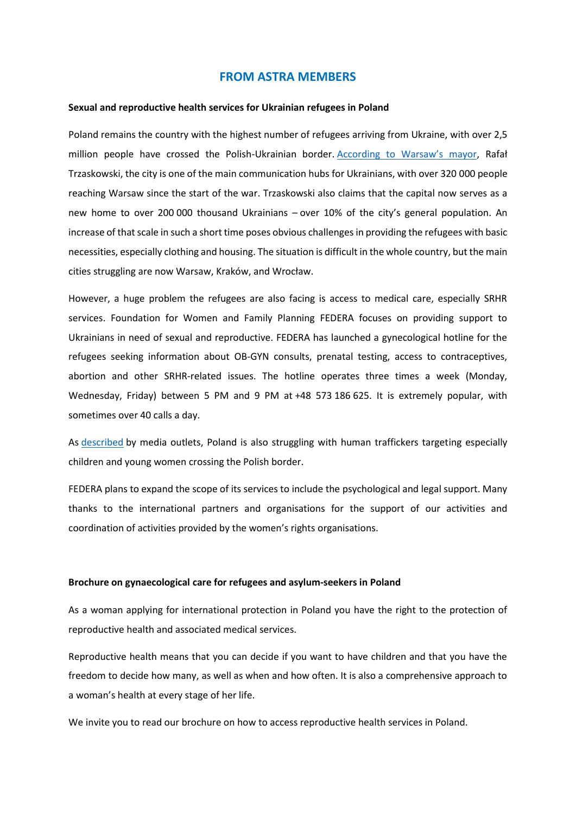### **FROM ASTRA MEMBERS**

#### **Sexual and reproductive health services for Ukrainian refugees in Poland**

Poland remains the country with the highest number of refugees arriving from Ukraine, with over 2,5 million people have crossed the Polish-Ukrainian border. [According to Warsaw's mayor,](https://samorzad.pap.pl/kategoria/aktualnosci/trzaskowski-przez-warszawe-przejechalo-320-tysiecy-osob-z-ukrainy) Rafał Trzaskowski, the city is one of the main communication hubs for Ukrainians, with over 320 000 people reaching Warsaw since the start of the war. Trzaskowski also claims that the capital now serves as a new home to over 200 000 thousand Ukrainians – over 10% of the city's general population. An increase of that scale in such a short time poses obvious challenges in providing the refugees with basic necessities, especially clothing and housing. The situation is difficult in the whole country, but the main cities struggling are now Warsaw, Kraków, and Wrocław.

However, a huge problem the refugees are also facing is access to medical care, especially SRHR services. Foundation for Women and Family Planning FEDERA focuses on providing support to Ukrainians in need of sexual and reproductive. FEDERA has launched a gynecological hotline for the refugees seeking information about OB-GYN consults, prenatal testing, access to contraceptives, abortion and other SRHR-related issues. The hotline operates three times a week (Monday, Wednesday, Friday) between 5 PM and 9 PM at +48 573 186 625. It is extremely popular, with sometimes over 40 calls a day.

As [described](https://www.theguardian.com/global-development/2022/mar/12/children-going-missing-amid-chaos-at-ukraine-border-report-aid-groups-refugees) by media outlets, Poland is also struggling with human traffickers targeting especially children and young women crossing the Polish border.

FEDERA plans to expand the scope of its services to include the psychological and legal support. Many thanks to the international partners and organisations for the support of our activities and coordination of activities provided by the women's rights organisations.

#### **Brochure on gynaecological care for refugees and asylum-seekers in Poland**

As a woman applying for international protection in Poland you have the right to the protection of reproductive health and associated medical services.

Reproductive health means that you can decide if you want to have children and that you have the freedom to decide how many, as well as when and how often. It is also a comprehensive approach to a woman's health at every stage of her life.

We invite you to read our brochure on how to access reproductive health services in Poland.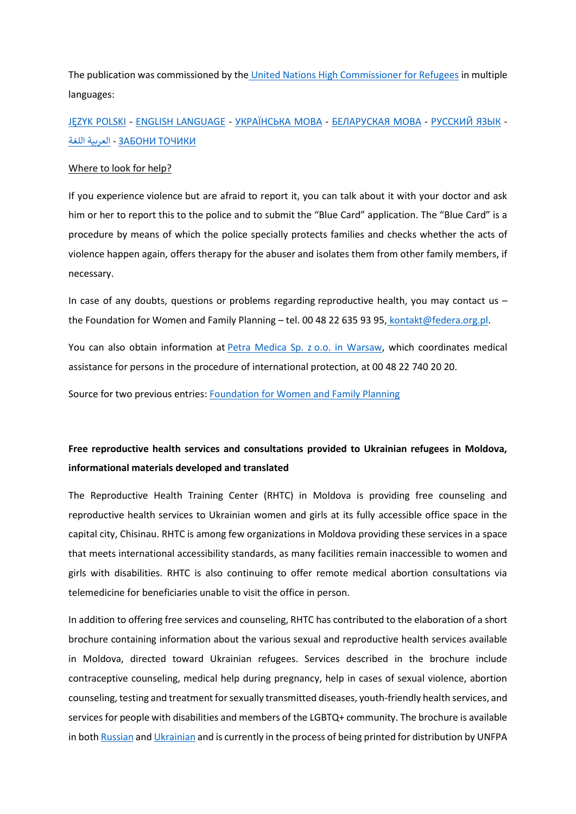The publication was commissioned by the [United Nations High Commissioner for Refugees](https://www.unhcr.org/) in multiple languages:

[JĘZYK POLSKI](https://federa.org.pl/wp-content/uploads/2020/09/uchodzczynie-polska_PL.pdf) - [ENGLISH LANGUAGE](https://federa.org.pl/wp-content/uploads/2022/03/ENG-www.pdf) - [УКРАЇНСЬКА](https://federa.org.pl/wp-content/uploads/2022/03/Q-ulotkaA5-ukr-ost.pdf) МОВА - [БЕЛАРУСКАЯ](https://federa.org.pl/wp-content/uploads/2020/09/women-refugees-poland_BE.pdf) МОВА - [РУССКИЙ](https://federa.org.pl/wp-content/uploads/2020/09/women-refugees-poland_RU.pdf) ЯЗЫК - [ТОЧИКИ](https://federa.org.pl/wp-content/uploads/2020/09/women-refugees-poland_TG.pdf) ЗАБОНИ - [العربية](https://federa.org.pl/wp-content/uploads/2020/09/women-refugees-poland_AR.pdf) [اللغة](https://federa.org.pl/wp-content/uploads/2020/09/women-refugees-poland_AR.pdf)

### Where to look for help?

If you experience violence but are afraid to report it, you can talk about it with your doctor and ask him or her to report this to the police and to submit the "Blue Card" application. The "Blue Card" is a procedure by means of which the police specially protects families and checks whether the acts of violence happen again, offers therapy for the abuser and isolates them from other family members, if necessary.

In case of any doubts, questions or problems regarding reproductive health, you may contact us – the Foundation for Women and Family Planning – tel. 00 48 22 635 93 95, [kontakt@federa.org.pl.](mailto:kontakt@federa.org.pl)

You can also obtain information at [Petra Medica Sp. z](https://www.petramedica.pl/) o.o. in Warsaw, which coordinates medical assistance for persons in the procedure of international protection, at 00 48 22 740 20 20.

Source for two previous entries[: Foundation for Women and Family Planning](https://en.federa.org.pl/)

# **Free reproductive health services and consultations provided to Ukrainian refugees in Moldova, informational materials developed and translated**

The Reproductive Health Training Center (RHTC) in Moldova is providing free counseling and reproductive health services to Ukrainian women and girls at its fully accessible office space in the capital city, Chisinau. RHTC is among few organizations in Moldova providing these services in a space that meets international accessibility standards, as many facilities remain inaccessible to women and girls with disabilities. RHTC is also continuing to offer remote medical abortion consultations via telemedicine for beneficiaries unable to visit the office in person.

In addition to offering free services and counseling, RHTC has contributed to the elaboration of a short brochure containing information about the various sexual and reproductive health services available in Moldova, directed toward Ukrainian refugees. Services described in the brochure include contraceptive counseling, medical help during pregnancy, help in cases of sexual violence, abortion counseling, testing and treatment for sexually transmitted diseases, youth-friendly health services, and services for people with disabilities and members of the LGBTQ+ community. The brochure is available in bot[h Russian](https://cidsr.md/wp-content/uploads/2022/04/%D0%A3%D1%81%D0%BB%D1%83%D0%B3%D0%B8-%D0%B2-%D0%BE%D0%B1%D0%BB%D0%B0%D1%81%D1%82%D0%B8-%D1%81%D0%B5%D0%BA%D1%81%D1%83%D0%B0%D0%BB%D1%8C%D0%BD%D0%BE%D0%B3%D0%BE-%D0%B8-%D1%80%D0%B5%D0%BF%D1%80%D0%BE%D0%B4%D1%83%D0%BA%D1%82%D0%B8%D0%B2%D0%BD%D0%BE%D0%B3%D0%BE-%D0%B7%D0%B4%D0%BE%D1%80%D0%BE%D0%B2%D1%8C%D1%8F.pdf) an[d Ukrainian](https://cidsr.md/wp-content/uploads/2022/04/%D0%9F%D0%BE%D1%81%D0%BB%D1%83%D0%B3%D0%B8-%D1%83-%D1%81%D1%84%D0%B5%D1%80%D1%96-%D1%81%D0%B5%D0%BA%D1%81%D1%83%D0%B0%D0%BB%D1%8C%D0%BD%D0%BE%D0%B3%D0%BE-%D1%96-%D1%80%D0%B5%D0%BF%D1%80%D0%BE%D0%B4%D1%83%D0%BA%D1%82%D0%B8%D0%B2%D0%BD%D0%BE%D0%B3%D0%BE-%D0%B7%D0%B4%D0%BE%D1%80%D0%BE%D0%B2%D1%8F.pdf) and is currently in the process of being printed for distribution by UNFPA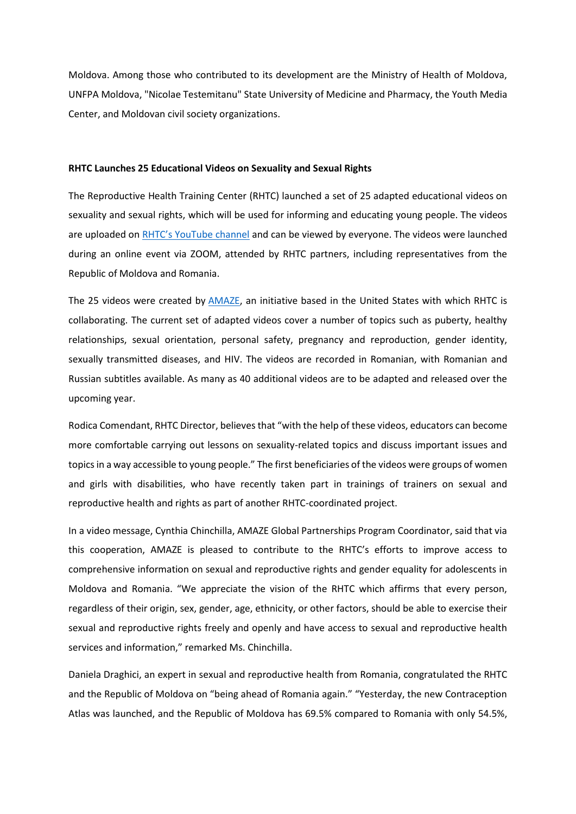Moldova. Among those who contributed to its development are the Ministry of Health of Moldova, UNFPA Moldova, "Nicolae Testemitanu" State University of Medicine and Pharmacy, the Youth Media Center, and Moldovan civil society organizations.

#### **RHTC Launches 25 Educational Videos on Sexuality and Sexual Rights**

The Reproductive Health Training Center (RHTC) launched a set of 25 adapted educational videos on sexuality and sexual rights, which will be used for informing and educating young people. The videos are uploaded on [RHTC's YouTube channel](https://www.youtube.com/playlist?list=PLejwvuY0eTV2xSIxk5pPfskU9oXoN5BDh) and can be viewed by everyone. The videos were launched during an online event via ZOOM, attended by RHTC partners, including representatives from the Republic of Moldova and Romania.

The 25 videos were created by [AMAZE,](https://amaze.org/romanian/) an initiative based in the United States with which RHTC is collaborating. The current set of adapted videos cover a number of topics such as puberty, healthy relationships, sexual orientation, personal safety, pregnancy and reproduction, gender identity, sexually transmitted diseases, and HIV. The videos are recorded in Romanian, with Romanian and Russian subtitles available. As many as 40 additional videos are to be adapted and released over the upcoming year.

Rodica Comendant, RHTC Director, believes that "with the help of these videos, educators can become more comfortable carrying out lessons on sexuality-related topics and discuss important issues and topics in a way accessible to young people." The first beneficiaries of the videos were groups of women and girls with disabilities, who have recently taken part in trainings of trainers on sexual and reproductive health and rights as part of another RHTC-coordinated project.

In a video message, Cynthia Chinchilla, AMAZE Global Partnerships Program Coordinator, said that via this cooperation, AMAZE is pleased to contribute to the RHTC's efforts to improve access to comprehensive information on sexual and reproductive rights and gender equality for adolescents in Moldova and Romania. "We appreciate the vision of the RHTC which affirms that every person, regardless of their origin, sex, gender, age, ethnicity, or other factors, should be able to exercise their sexual and reproductive rights freely and openly and have access to sexual and reproductive health services and information," remarked Ms. Chinchilla.

Daniela Draghici, an expert in sexual and reproductive health from Romania, congratulated the RHTC and the Republic of Moldova on "being ahead of Romania again." "Yesterday, the new Contraception Atlas was launched, and the Republic of Moldova has 69.5% compared to Romania with only 54.5%,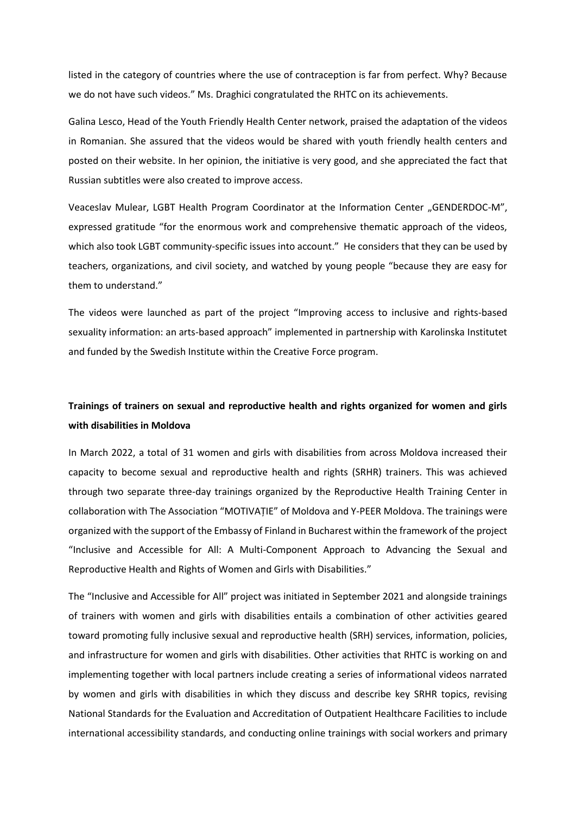listed in the category of countries where the use of contraception is far from perfect. Why? Because we do not have such videos." Ms. Draghici congratulated the RHTC on its achievements.

Galina Lesco, Head of the Youth Friendly Health Center network, praised the adaptation of the videos in Romanian. She assured that the videos would be shared with youth friendly health centers and posted on their website. In her opinion, the initiative is very good, and she appreciated the fact that Russian subtitles were also created to improve access.

Veaceslav Mulear, LGBT Health Program Coordinator at the Information Center "GENDERDOC-M", expressed gratitude "for the enormous work and comprehensive thematic approach of the videos, which also took LGBT community-specific issues into account." He considers that they can be used by teachers, organizations, and civil society, and watched by young people "because they are easy for them to understand."

The videos were launched as part of the project "Improving access to inclusive and rights-based sexuality information: an arts-based approach" implemented in partnership with Karolinska Institutet and funded by the Swedish Institute within the Creative Force program.

# **Trainings of trainers on sexual and reproductive health and rights organized for women and girls with disabilities in Moldova**

In March 2022, a total of 31 women and girls with disabilities from across Moldova increased their capacity to become sexual and reproductive health and rights (SRHR) trainers. This was achieved through two separate three-day trainings organized by the Reproductive Health Training Center in collaboration with The Association "MOTIVAȚIE" of Moldova and Y-PEER Moldova. The trainings were organized with the support of the Embassy of Finland in Bucharest within the framework of the project "Inclusive and Accessible for All: A Multi-Component Approach to Advancing the Sexual and Reproductive Health and Rights of Women and Girls with Disabilities."

The "Inclusive and Accessible for All" project was initiated in September 2021 and alongside trainings of trainers with women and girls with disabilities entails a combination of other activities geared toward promoting fully inclusive sexual and reproductive health (SRH) services, information, policies, and infrastructure for women and girls with disabilities. Other activities that RHTC is working on and implementing together with local partners include creating a series of informational videos narrated by women and girls with disabilities in which they discuss and describe key SRHR topics, revising National Standards for the Evaluation and Accreditation of Outpatient Healthcare Facilities to include international accessibility standards, and conducting online trainings with social workers and primary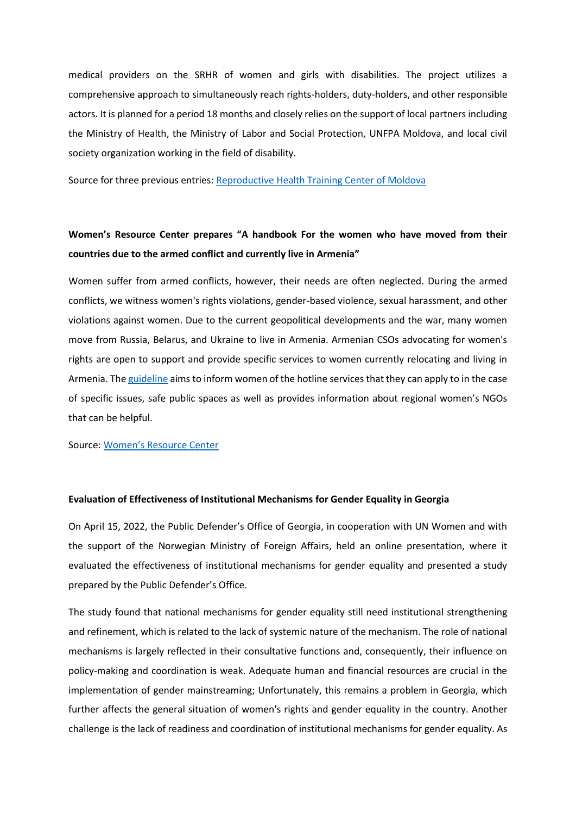medical providers on the SRHR of women and girls with disabilities. The project utilizes a comprehensive approach to simultaneously reach rights-holders, duty-holders, and other responsible actors. It is planned for a period 18 months and closely relies on the support of local partners including the Ministry of Health, the Ministry of Labor and Social Protection, UNFPA Moldova, and local civil society organization working in the field of disability.

Source for three previous entries[: Reproductive Health Training Center of Moldova](https://cidsr.md/en/)

## **Women's Resource Center prepares "A handbook For the women who have moved from their countries due to the armed conflict and currently live in Armenia"**

Women suffer from armed conflicts, however, their needs are often neglected. During the armed conflicts, we witness women's rights violations, gender-based violence, sexual harassment, and other violations against women. Due to the current geopolitical developments and the war, many women move from Russia, Belarus, and Ukraine to live in Armenia. Armenian CSOs advocating for women's rights are open to support and provide specific services to women currently relocating and living in Armenia. The [guideline](https://docs.google.com/document/d/12zMPpmkcemmqWSgw1AqfLS725MSh3C7u/edit?fbclid=IwAR1GPdXh7S5dSJMCpRo5XYHM1oyUiaVXqXBwX4mKlAp-hl0jvdZwWAVoShs) aims to inform women of the hotline services that they can apply to in the case of specific issues, safe public spaces as well as provides information about regional women's NGOs that can be helpful.

Source: Women['s Resource Center](https://womenofarmenia.org/)

#### **Evaluation of Effectiveness of Institutional Mechanisms for Gender Equality in Georgia**

On April 15, 2022, the Public Defender's Office of Georgia, in cooperation with UN Women and with the support of the Norwegian Ministry of Foreign Affairs, held an online presentation, where it evaluated the effectiveness of institutional mechanisms for gender equality and presented a study prepared by the Public Defender's Office.

The study found that national mechanisms for gender equality still need institutional strengthening and refinement, which is related to the lack of systemic nature of the mechanism. The role of national mechanisms is largely reflected in their consultative functions and, consequently, their influence on policy-making and coordination is weak. Adequate human and financial resources are crucial in the implementation of gender mainstreaming; Unfortunately, this remains a problem in Georgia, which further affects the general situation of women's rights and gender equality in the country. Another challenge is the lack of readiness and coordination of institutional mechanisms for gender equality. As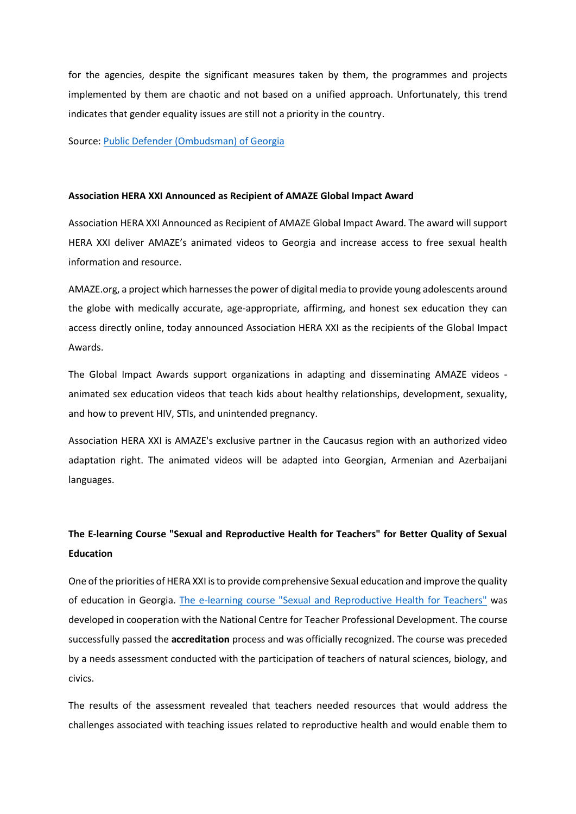for the agencies, despite the significant measures taken by them, the programmes and projects implemented by them are chaotic and not based on a unified approach. Unfortunately, this trend indicates that gender equality issues are still not a priority in the country.

Source: [Public Defender \(Ombudsman\) of Georgia](https://ombudsman.ge/eng)

#### **Association HERA XXI Announced as Recipient of AMAZE Global Impact Award**

Association HERA XXI Announced as Recipient of AMAZE Global Impact Award. The award will support HERA XXI deliver AMAZE's animated videos to Georgia and increase access to free sexual health information and resource.

AMAZE.org, a project which harnesses the power of digital media to provide young adolescents around the globe with medically accurate, age-appropriate, affirming, and honest sex education they can access directly online, today announced Association HERA XXI as the recipients of the Global Impact Awards.

The Global Impact Awards support organizations in adapting and disseminating AMAZE videos animated sex education videos that teach kids about healthy relationships, development, sexuality, and how to prevent HIV, STIs, and unintended pregnancy.

Association HERA XXI is AMAZE's exclusive partner in the Caucasus region with an authorized video adaptation right. The animated videos will be adapted into Georgian, Armenian and Azerbaijani languages.

# **The E-learning Course "Sexual and Reproductive Health for Teachers" for Better Quality of Sexual Education**

One of the priorities of HERA XXI is to provide comprehensive Sexual education and improve the quality of education in Georgia. [The e-learning course "Sexual and Reproductive Health for Teachers"](http://edx.emis.ge/) was developed in cooperation with the National Centre for Teacher Professional Development. The course successfully passed the **accreditation** process and was officially recognized. The course was preceded by a needs assessment conducted with the participation of teachers of natural sciences, biology, and civics.

The results of the assessment revealed that teachers needed resources that would address the challenges associated with teaching issues related to reproductive health and would enable them to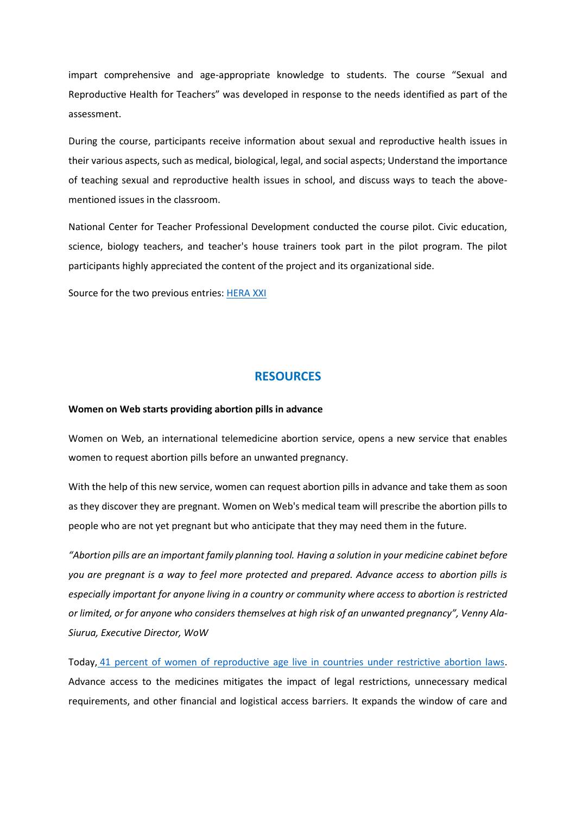impart comprehensive and age-appropriate knowledge to students. The course "Sexual and Reproductive Health for Teachers" was developed in response to the needs identified as part of the assessment.

During the course, participants receive information about sexual and reproductive health issues in their various aspects, such as medical, biological, legal, and social aspects; Understand the importance of teaching sexual and reproductive health issues in school, and discuss ways to teach the abovementioned issues in the classroom.

National Center for Teacher Professional Development conducted the course pilot. Civic education, science, biology teachers, and teacher's house trainers took part in the pilot program. The pilot participants highly appreciated the content of the project and its organizational side.

Source for the two previous entries: [HERA XXI](https://hera-youth.ge/en/)

## **RESOURCES**

#### **Women on Web starts providing abortion pills in advance**

Women on Web, an international telemedicine abortion service, opens a new service that enables women to request abortion pills before an unwanted pregnancy.

With the help of this new service, women can request abortion pills in advance and take them as soon as they discover they are pregnant. Women on Web's medical team will prescribe the abortion pills to people who are not yet pregnant but who anticipate that they may need them in the future.

*"Abortion pills are an important family planning tool. Having a solution in your medicine cabinet before you are pregnant is a way to feel more protected and prepared. Advance access to abortion pills is especially important for anyone living in a country or community where access to abortion is restricted or limited, or for anyone who considers themselves at high risk of an unwanted pregnancy", Venny Ala-Siurua, Executive Director, WoW*

Today, [41 percent of women of reproductive age live in countries under restrictive abortion laws.](https://maps.reproductiverights.org/worldabortionlaws) Advance access to the medicines mitigates the impact of legal restrictions, unnecessary medical requirements, and other financial and logistical access barriers. It expands the window of care and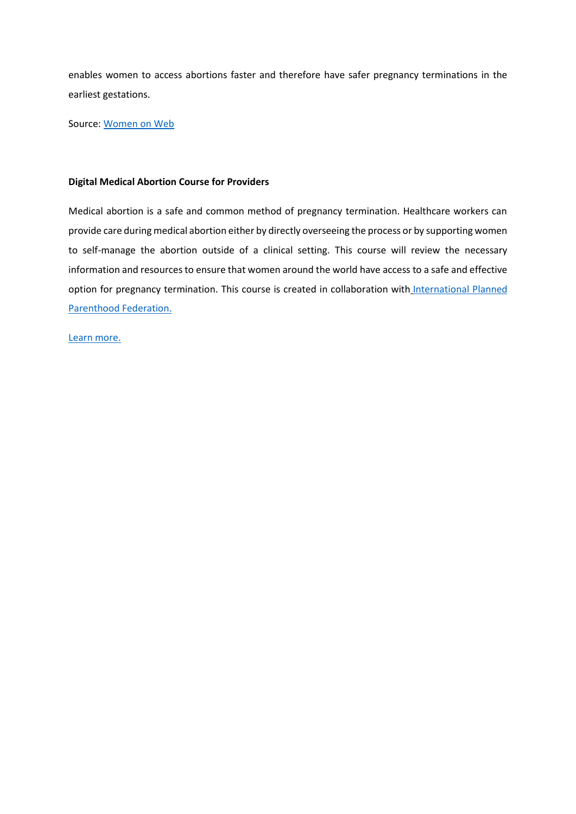enables women to access abortions faster and therefore have safer pregnancy terminations in the earliest gestations.

Source: [Women on Web](https://www.womenonweb.org/en/page/21297/women-on-web-starts-providing-abortion-pills-in-advance)

### **Digital Medical Abortion Course for Providers**

Medical abortion is a safe and common method of pregnancy termination. Healthcare workers can provide care during medical abortion either by directly overseeing the process or by supporting women to self-manage the abortion outside of a clinical setting. This course will review the necessary information and resources to ensure that women around the world have access to a safe and effective option for pregnancy termination. This course is created in collaboration with International Planned [Parenthood Federation.](https://www.ippf.org/)

[Learn more.](https://elearning.howtouseabortionpill.org/course/index.php)